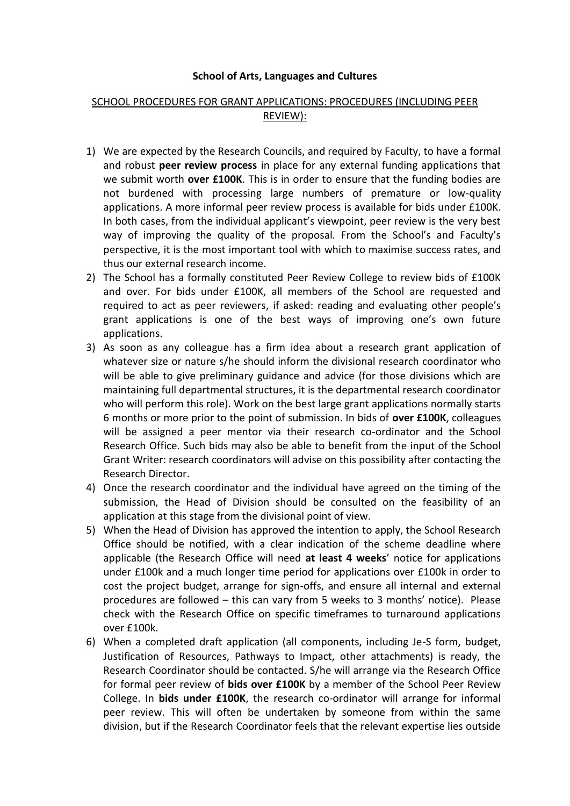## **School of Arts, Languages and Cultures**

## SCHOOL PROCEDURES FOR GRANT APPLICATIONS: PROCEDURES (INCLUDING PEER REVIEW):

- 1) We are expected by the Research Councils, and required by Faculty, to have a formal and robust **peer review process** in place for any external funding applications that we submit worth **over £100K**. This is in order to ensure that the funding bodies are not burdened with processing large numbers of premature or low-quality applications. A more informal peer review process is available for bids under £100K. In both cases, from the individual applicant's viewpoint, peer review is the very best way of improving the quality of the proposal. From the School's and Faculty's perspective, it is the most important tool with which to maximise success rates, and thus our external research income.
- 2) The School has a formally constituted Peer Review College to review bids of £100K and over. For bids under £100K, all members of the School are requested and required to act as peer reviewers, if asked: reading and evaluating other people's grant applications is one of the best ways of improving one's own future applications.
- 3) As soon as any colleague has a firm idea about a research grant application of whatever size or nature s/he should inform the divisional research coordinator who will be able to give preliminary guidance and advice (for those divisions which are maintaining full departmental structures, it is the departmental research coordinator who will perform this role). Work on the best large grant applications normally starts 6 months or more prior to the point of submission. In bids of **over £100K**, colleagues will be assigned a peer mentor via their research co-ordinator and the School Research Office. Such bids may also be able to benefit from the input of the School Grant Writer: research coordinators will advise on this possibility after contacting the Research Director.
- 4) Once the research coordinator and the individual have agreed on the timing of the submission, the Head of Division should be consulted on the feasibility of an application at this stage from the divisional point of view.
- 5) When the Head of Division has approved the intention to apply, the School Research Office should be notified, with a clear indication of the scheme deadline where applicable (the Research Office will need **at least 4 weeks**' notice for applications under £100k and a much longer time period for applications over £100k in order to cost the project budget, arrange for sign-offs, and ensure all internal and external procedures are followed – this can vary from 5 weeks to 3 months' notice). Please check with the Research Office on specific timeframes to turnaround applications over £100k.
- 6) When a completed draft application (all components, including Je-S form, budget, Justification of Resources, Pathways to Impact, other attachments) is ready, the Research Coordinator should be contacted. S/he will arrange via the Research Office for formal peer review of **bids over £100K** by a member of the School Peer Review College. In **bids under £100K**, the research co-ordinator will arrange for informal peer review. This will often be undertaken by someone from within the same division, but if the Research Coordinator feels that the relevant expertise lies outside